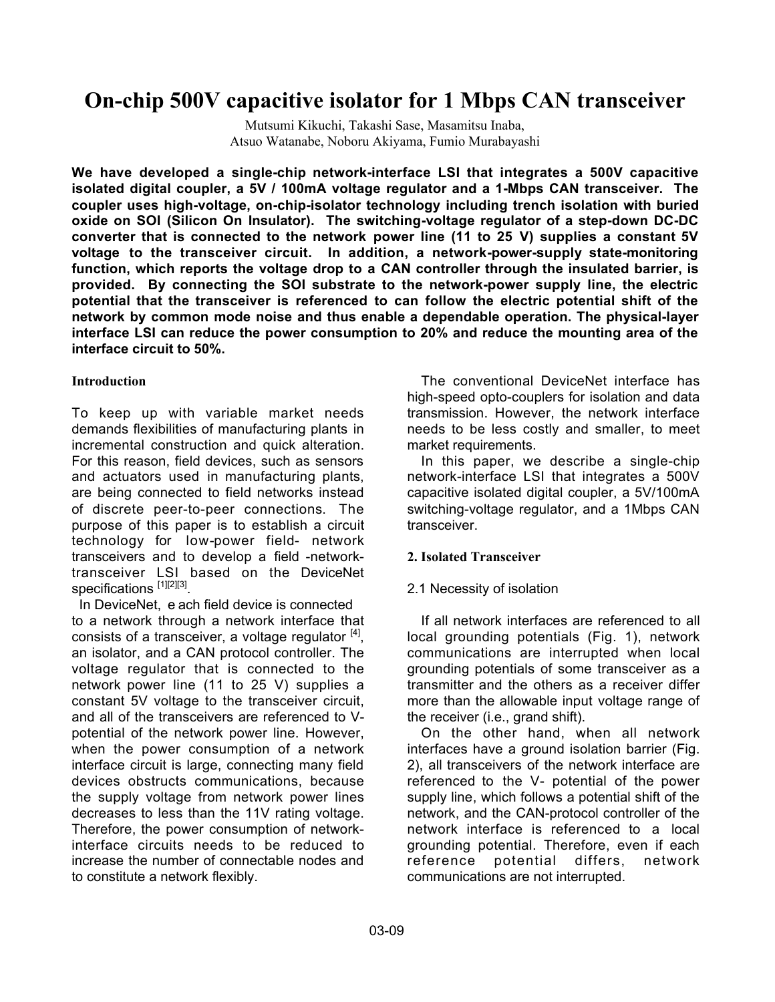# **On-chip 500V capacitive isolator for 1 Mbps CAN transceiver**

Mutsumi Kikuchi, Takashi Sase, Masamitsu Inaba, Atsuo Watanabe, Noboru Akiyama, Fumio Murabayashi

**We have developed a single-chip network-interface LSI that integrates a 500V capacitive isolated digital coupler, a 5V / 100mA voltage regulator and a 1-Mbps CAN transceiver. The coupler uses high-voltage, on-chip-isolator technology including trench isolation with buried oxide on SOI (Silicon On Insulator). The switching-voltage regulator of a step-down DC-DC converter that is connected to the network power line (11 to 25 V) supplies a constant 5V voltage to the transceiver circuit. In addition, a network-power-supply state-monitoring function, which reports the voltage drop to a CAN controller through the insulated barrier, is provided. By connecting the SOI substrate to the network-power supply line, the electric potential that the transceiver is referenced to can follow the electric potential shift of the network by common mode noise and thus enable a dependable operation. The physical-layer interface LSI can reduce the power consumption to 20% and reduce the mounting area of the interface circuit to 50%.**

### **Introduction**

To keep up with variable market needs demands flexibilities of manufacturing plants in incremental construction and quick alteration. For this reason, field devices, such as sensors and actuators used in manufacturing plants, are being connected to field networks instead of discrete peer-to-peer connections. The purpose of this paper is to establish a circuit technology for low-power field- network transceivers and to develop a field -networktransceiver LSI based on the DeviceNet specifications [1][2][3].

 In DeviceNet, e ach field device is connected to a network through a network interface that consists of a transceiver, a voltage regulator  $[4]$ , an isolator, and a CAN protocol controller. The voltage regulator that is connected to the network power line (11 to 25 V) supplies a constant 5V voltage to the transceiver circuit, and all of the transceivers are referenced to Vpotential of the network power line. However, when the power consumption of a network interface circuit is large, connecting many field devices obstructs communications, because the supply voltage from network power lines decreases to less than the 11V rating voltage. Therefore, the power consumption of networkinterface circuits needs to be reduced to increase the number of connectable nodes and to constitute a network flexibly.

The conventional DeviceNet interface has high-speed opto-couplers for isolation and data transmission. However, the network interface needs to be less costly and smaller, to meet market requirements.

In this paper, we describe a single-chip network-interface LSI that integrates a 500V capacitive isolated digital coupler, a 5V/100mA switching-voltage regulator, and a 1Mbps CAN transceiver.

### **2. Isolated Transceiver**

# 2.1 Necessity of isolation

If all network interfaces are referenced to all local grounding potentials (Fig. 1), network communications are interrupted when local grounding potentials of some transceiver as a transmitter and the others as a receiver differ more than the allowable input voltage range of the receiver (i.e., grand shift).

On the other hand, when all network interfaces have a ground isolation barrier (Fig. 2), all transceivers of the network interface are referenced to the V- potential of the power supply line, which follows a potential shift of the network, and the CAN-protocol controller of the network interface is referenced to a local grounding potential. Therefore, even if each reference potential differs, network communications are not interrupted.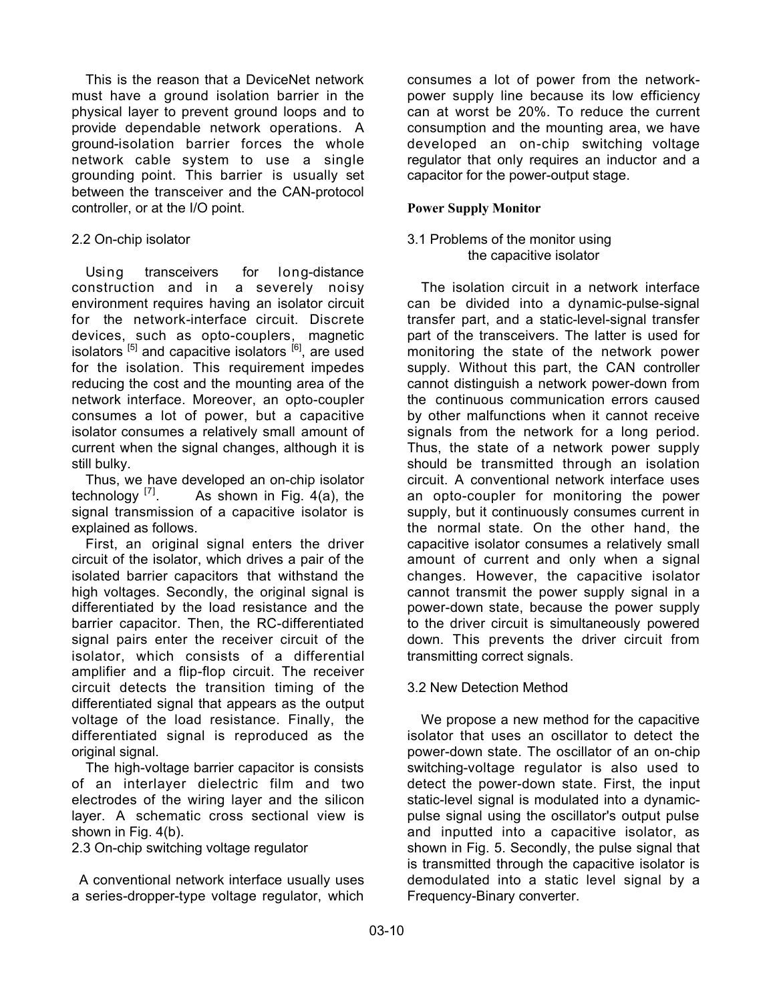This is the reason that a DeviceNet network must have a ground isolation barrier in the physical layer to prevent ground loops and to provide dependable network operations. A ground-isolation barrier forces the whole network cable system to use a single grounding point. This barrier is usually set between the transceiver and the CAN-protocol controller, or at the I/O point.

#### 2.2 On-chip isolator

Using transceivers for long-distance construction and in a severely noisy environment requires having an isolator circuit for the network-interface circuit. Discrete devices, such as opto-couplers, magnetic isolators  $\begin{bmatrix} 5 \end{bmatrix}$  and capacitive isolators  $\begin{bmatrix} 6 \end{bmatrix}$ , are used for the isolation. This requirement impedes reducing the cost and the mounting area of the network interface. Moreover, an opto-coupler consumes a lot of power, but a capacitive isolator consumes a relatively small amount of current when the signal changes, although it is still bulky.

Thus, we have developed an on-chip isolator technology  $^{[7]}$ . As shown in Fig. 4(a), the signal transmission of a capacitive isolator is explained as follows.

First, an original signal enters the driver circuit of the isolator, which drives a pair of the isolated barrier capacitors that withstand the high voltages. Secondly, the original signal is differentiated by the load resistance and the barrier capacitor. Then, the RC-differentiated signal pairs enter the receiver circuit of the isolator, which consists of a differential amplifier and a flip-flop circuit. The receiver circuit detects the transition timing of the differentiated signal that appears as the output voltage of the load resistance. Finally, the differentiated signal is reproduced as the original signal.

The high-voltage barrier capacitor is consists of an interlayer dielectric film and two electrodes of the wiring layer and the silicon layer. A schematic cross sectional view is shown in Fig. 4(b).

2.3 On-chip switching voltage regulator

 A conventional network interface usually uses a series-dropper-type voltage regulator, which consumes a lot of power from the networkpower supply line because its low efficiency can at worst be 20%. To reduce the current consumption and the mounting area, we have developed an on-chip switching voltage regulator that only requires an inductor and a capacitor for the power-output stage.

#### **Power Supply Monitor**

#### 3.1 Problems of the monitor using the capacitive isolator

The isolation circuit in a network interface can be divided into a dynamic-pulse-signal transfer part, and a static-level-signal transfer part of the transceivers. The latter is used for monitoring the state of the network power supply. Without this part, the CAN controller cannot distinguish a network power-down from the continuous communication errors caused by other malfunctions when it cannot receive signals from the network for a long period. Thus, the state of a network power supply should be transmitted through an isolation circuit. A conventional network interface uses an opto-coupler for monitoring the power supply, but it continuously consumes current in the normal state. On the other hand, the capacitive isolator consumes a relatively small amount of current and only when a signal changes. However, the capacitive isolator cannot transmit the power supply signal in a power-down state, because the power supply to the driver circuit is simultaneously powered down. This prevents the driver circuit from transmitting correct signals.

### 3.2 New Detection Method

We propose a new method for the capacitive isolator that uses an oscillator to detect the power-down state. The oscillator of an on-chip switching-voltage regulator is also used to detect the power-down state. First, the input static-level signal is modulated into a dynamicpulse signal using the oscillator's output pulse and inputted into a capacitive isolator, as shown in Fig. 5. Secondly, the pulse signal that is transmitted through the capacitive isolator is demodulated into a static level signal by a Frequency-Binary converter.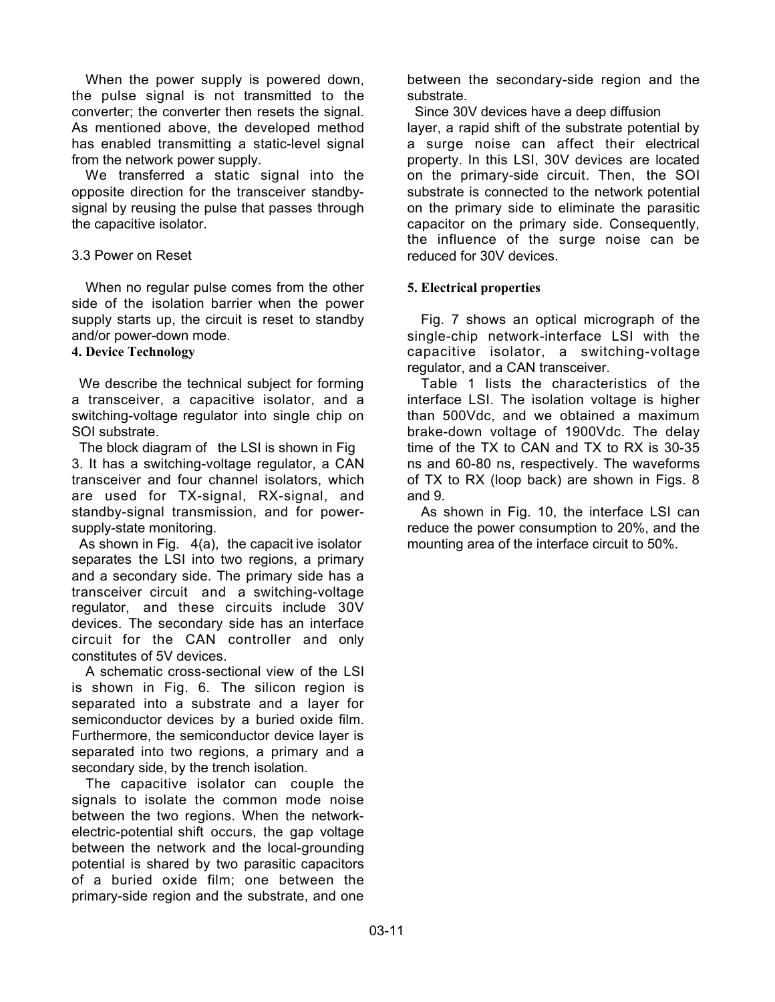When the power supply is powered down, the pulse signal is not transmitted to the converter; the converter then resets the signal. As mentioned above, the developed method has enabled transmitting a static-level signal from the network power supply.

We transferred a static signal into the opposite direction for the transceiver standbysignal by reusing the pulse that passes through the capacitive isolator.

#### 3.3 Power on Reset

When no regular pulse comes from the other side of the isolation barrier when the power supply starts up, the circuit is reset to standby and/or power-down mode.

#### **4. Device Technology**

 We describe the technical subject for forming a transceiver, a capacitive isolator, and a switching-voltage regulator into single chip on SOI substrate.

 The block diagram of the LSI is shown in Fig 3. It has a switching-voltage regulator, a CAN transceiver and four channel isolators, which are used for TX-signal, RX-signal, and standby-signal transmission, and for powersupply-state monitoring.

 As shown in Fig. 4(a), the capacit ive isolator separates the LSI into two regions, a primary and a secondary side. The primary side has a transceiver circuit and a switching-voltage regulator, and these circuits include 30V devices. The secondary side has an interface circuit for the CAN controller and only constitutes of 5V devices.

A schematic cross-sectional view of the LSI is shown in Fig. 6. The silicon region is separated into a substrate and a layer for semiconductor devices by a buried oxide film. Furthermore, the semiconductor device layer is separated into two regions, a primary and a secondary side, by the trench isolation.

The capacitive isolator can couple the signals to isolate the common mode noise between the two regions. When the networkelectric-potential shift occurs, the gap voltage between the network and the local-grounding potential is shared by two parasitic capacitors of a buried oxide film; one between the primary-side region and the substrate, and one

between the secondary-side region and the substrate.

 Since 30V devices have a deep diffusion layer, a rapid shift of the substrate potential by a surge noise can affect their electrical property. In this LSI, 30V devices are located on the primary-side circuit. Then, the SOI substrate is connected to the network potential on the primary side to eliminate the parasitic capacitor on the primary side. Consequently, the influence of the surge noise can be reduced for 30V devices.

#### **5. Electrical properties**

Fig. 7 shows an optical micrograph of the single-chip network-interface LSI with the capacitive isolator, a switching-voltage regulator, and a CAN transceiver.

Table 1 lists the characteristics of the interface LSI. The isolation voltage is higher than 500Vdc, and we obtained a maximum brake-down voltage of 1900Vdc. The delay time of the TX to CAN and TX to RX is 30-35 ns and 60-80 ns, respectively. The waveforms of TX to RX (loop back) are shown in Figs. 8 and 9.

As shown in Fig. 10, the interface LSI can reduce the power consumption to 20%, and the mounting area of the interface circuit to 50%.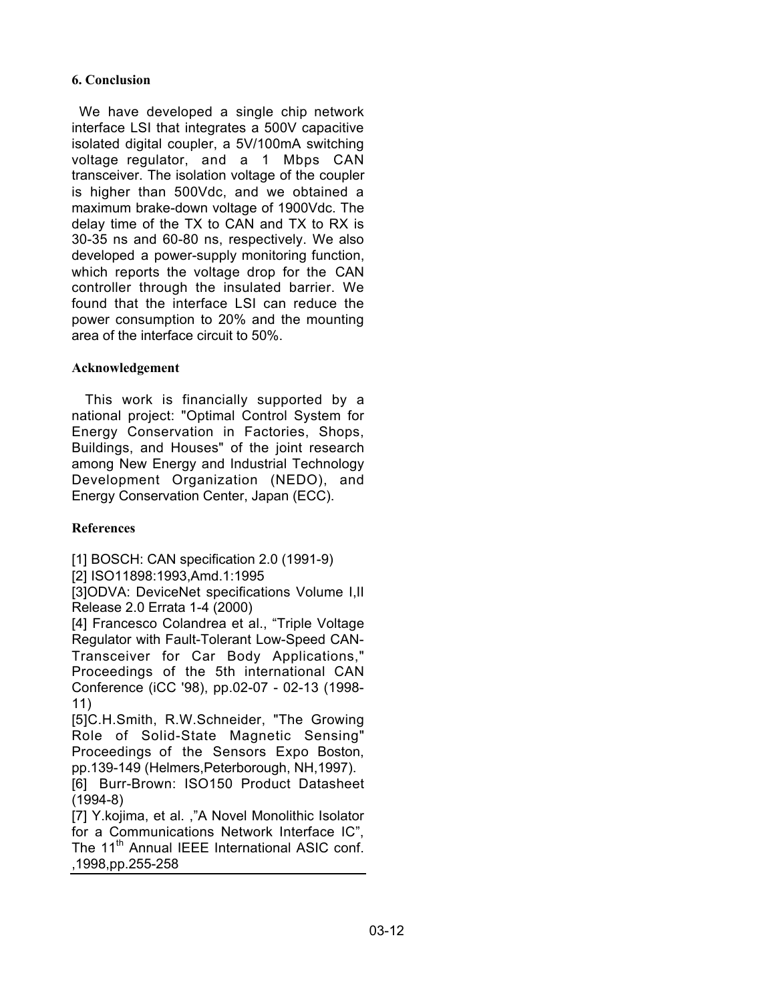## **6. Conclusion**

 We have developed a single chip network interface LSI that integrates a 500V capacitive isolated digital coupler, a 5V/100mA switching voltage regulator, and a 1 Mbps CAN transceiver. The isolation voltage of the coupler is higher than 500Vdc, and we obtained a maximum brake-down voltage of 1900Vdc. The delay time of the TX to CAN and TX to RX is 30-35 ns and 60-80 ns, respectively. We also developed a power-supply monitoring function, which reports the voltage drop for the CAN controller through the insulated barrier. We found that the interface LSI can reduce the power consumption to 20% and the mounting area of the interface circuit to 50%.

## **Acknowledgement**

This work is financially supported by a national project: "Optimal Control System for Energy Conservation in Factories, Shops, Buildings, and Houses" of the joint research among New Energy and Industrial Technology Development Organization (NEDO), and Energy Conservation Center, Japan (ECC).

# **References**

[1] BOSCH: CAN specification 2.0 (1991-9)

[2] ISO11898:1993,Amd.1:1995

[3]ODVA: DeviceNet specifications Volume I, II Release 2.0 Errata 1-4 (2000)

[4] Francesco Colandrea et al., "Triple Voltage Regulator with Fault-Tolerant Low-Speed CAN-Transceiver for Car Body Applications," Proceedings of the 5th international CAN Conference (iCC '98), pp.02-07 - 02-13 (1998- 11)

[5]C.H.Smith, R.W.Schneider, "The Growing Role of Solid-State Magnetic Sensing" Proceedings of the Sensors Expo Boston, pp.139-149 (Helmers,Peterborough, NH,1997).

[6] Burr-Brown: ISO150 Product Datasheet (1994-8)

[7] Y.kojima, et al. ,"A Novel Monolithic Isolator for a Communications Network Interface IC", The 11<sup>th</sup> Annual IEEE International ASIC conf. ,1998,pp.255-258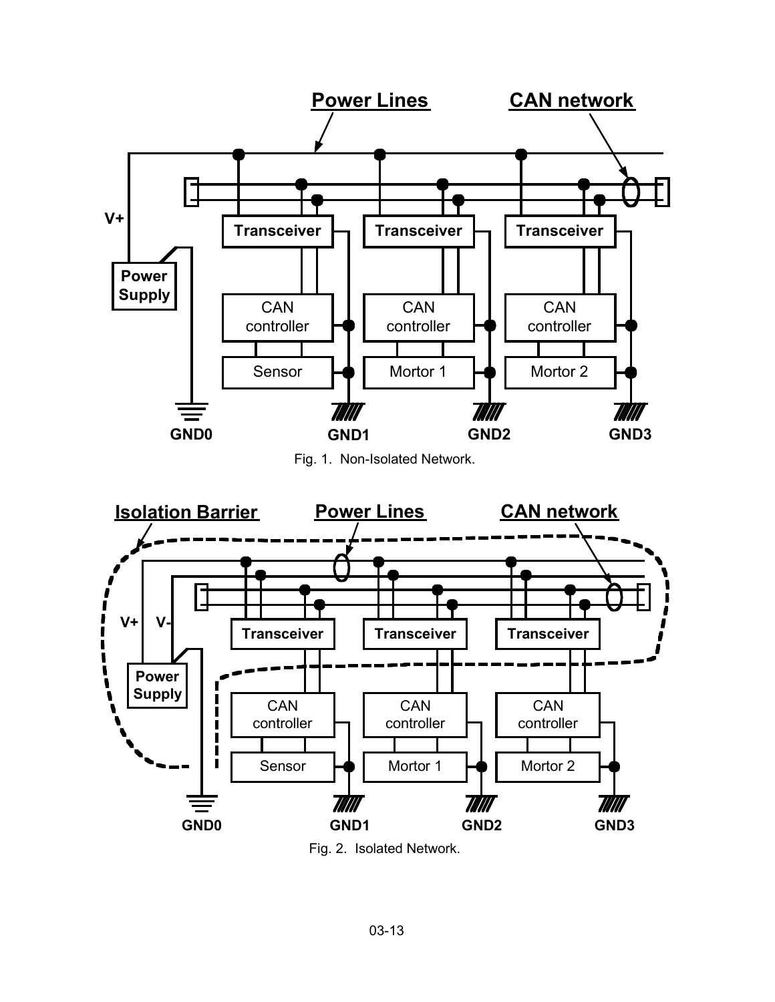



Fig. 2. Isolated Network.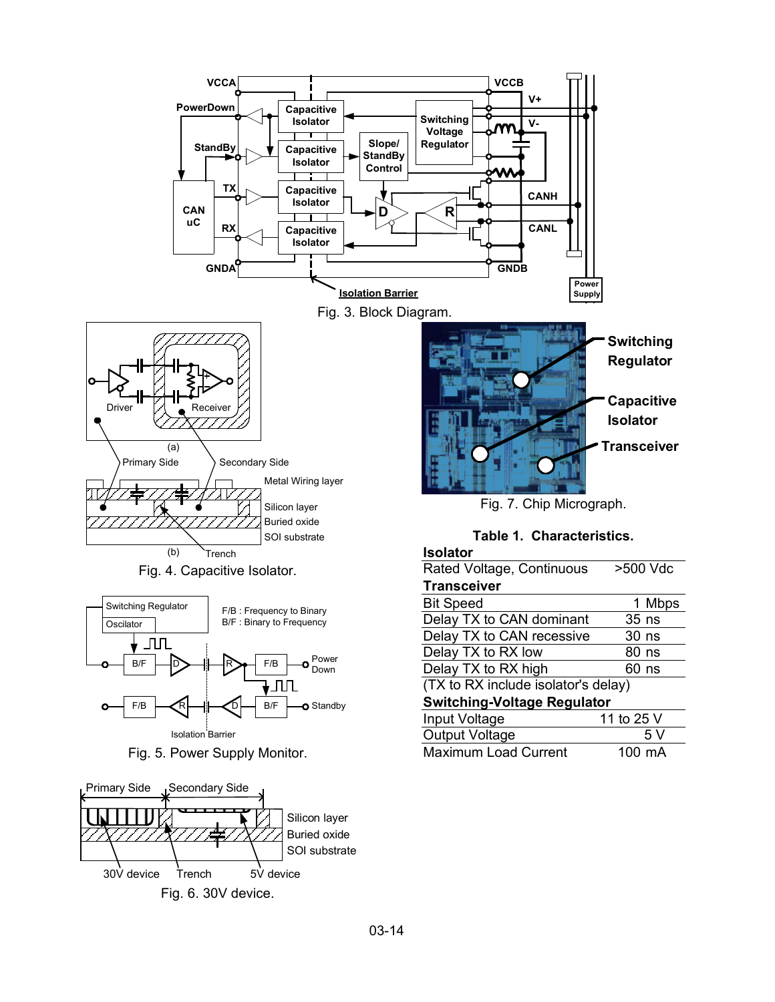